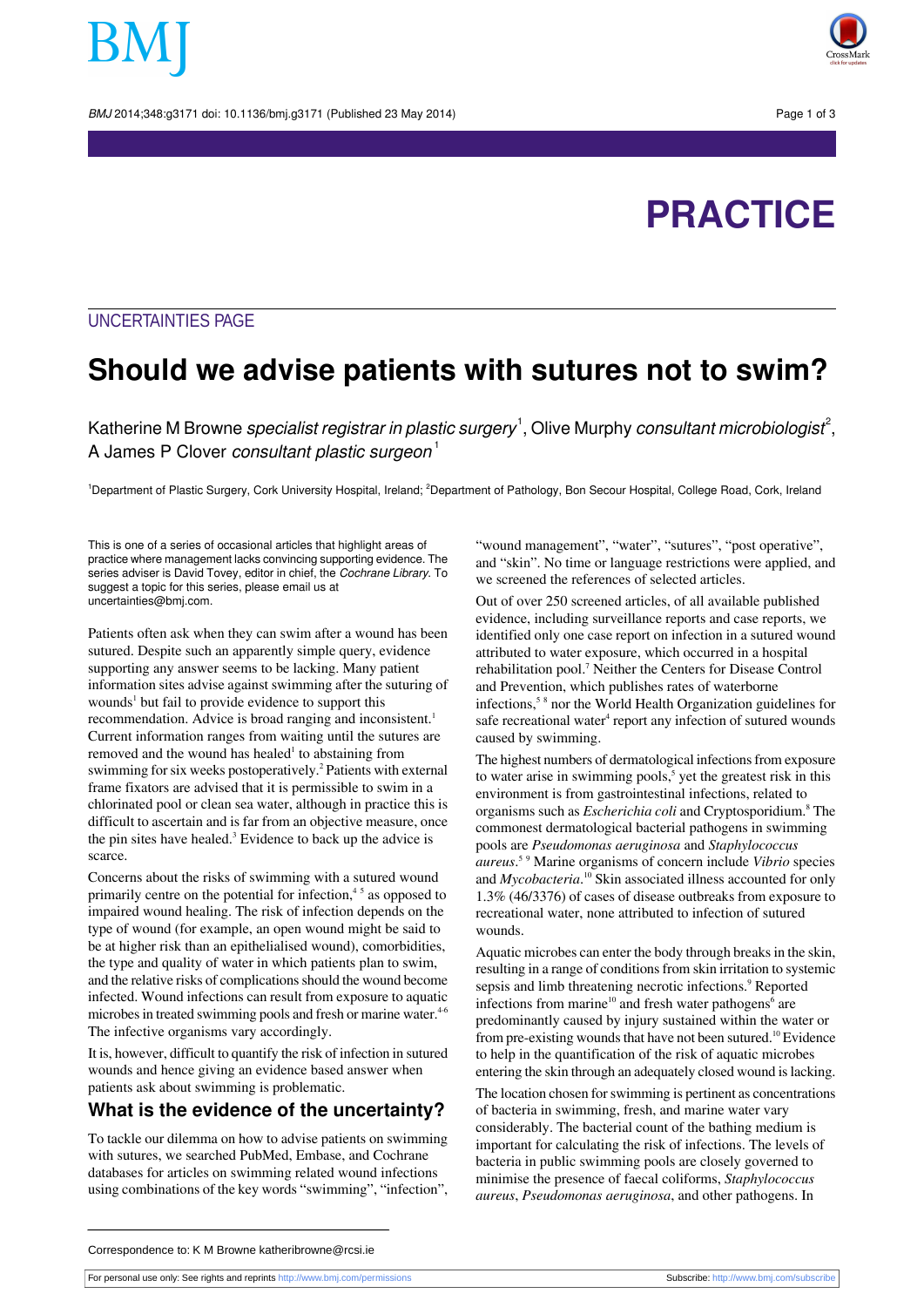BMJ 2014:348:g3171 doi: 10.1136/bmi.g3171 (Published 23 May 2014) Page 1 of 3



# **PRACTICE**

## UNCERTAINTIES PAGE

# **Should we advise patients with sutures not to swim?**

Katherine M Browne *specialist registrar in plastic surgery*  $^1,$  Olive Murphy *consultant microbiologist* $^2,$ A James P Clover consultant plastic surgeon $<sup>1</sup>$ </sup>

<sup>1</sup>Department of Plastic Surgery, Cork University Hospital, Ireland; <sup>2</sup>Department of Pathology, Bon Secour Hospital, College Road, Cork, Ireland

This is one of a series of occasional articles that highlight areas of practice where management lacks convincing supporting evidence. The series adviser is David Tovey, editor in chief, the Cochrane Library. To suggest a topic for this series, please email us at uncertainties@bmj.com.

Patients often ask when they can swim after a wound has been sutured. Despite such an apparently simple query, evidence supporting any answer seems to be lacking. Many patient information sites advise against swimming after the suturing of wounds<sup>1</sup> but fail to provide evidence to support this recommendation. Advice is broad ranging and inconsistent.<sup>1</sup> Current information ranges from waiting until the sutures are removed and the wound has healed<sup>1</sup> to abstaining from swimming for six weeks postoperatively.<sup>2</sup> Patients with external frame fixators are advised that it is permissible to swim in a chlorinated pool or clean sea water, although in practice this is difficult to ascertain and is far from an objective measure, once the pin sites have healed.<sup>3</sup> Evidence to back up the advice is scarce.

Concerns about the risks of swimming with a sutured wound primarily centre on the potential for infection,<sup>45</sup> as opposed to impaired wound healing. The risk of infection depends on the type of wound (for example, an open wound might be said to be at higher risk than an epithelialised wound), comorbidities, the type and quality of water in which patients plan to swim, and the relative risks of complications should the wound become infected. Wound infections can result from exposure to aquatic microbes in treated swimming pools and fresh or marine water.<sup>4-6</sup> The infective organisms vary accordingly.

It is, however, difficult to quantify the risk of infection in sutured wounds and hence giving an evidence based answer when patients ask about swimming is problematic.

#### **What is the evidence of the uncertainty?**

To tackle our dilemma on how to advise patients on swimming with sutures, we searched PubMed, Embase, and Cochrane databases for articles on swimming related wound infections using combinations of the key words "swimming", "infection",

"wound management", "water", "sutures", "post operative", and "skin". No time or language restrictions were applied, and we screened the references of selected articles.

Out of over 250 screened articles, of all available published evidence, including surveillance reports and case reports, we identified only one case report on infection in a sutured wound attributed to water exposure, which occurred in a hospital rehabilitation pool.<sup>7</sup> Neither the Centers for Disease Control and Prevention, which publishes rates of waterborne infections,<sup>58</sup> nor the World Health Organization guidelines for safe recreational water<sup>4</sup> report any infection of sutured wounds caused by swimming.

The highest numbers of dermatological infections from exposure to water arise in swimming pools,<sup>5</sup> yet the greatest risk in this environment is from gastrointestinal infections, related to organisms such as *Escherichia coli* and Cryptosporidium.<sup>8</sup> The commonest dermatological bacterial pathogens in swimming pools are *Pseudomonas aeruginosa* and *Staphylococcus aureus*. <sup>5</sup> <sup>9</sup> Marine organisms of concern include *Vibrio* species and *Mycobacteria*. <sup>10</sup> Skin associated illness accounted for only 1.3% (46/3376) of cases of disease outbreaks from exposure to recreational water, none attributed to infection of sutured wounds.

Aquatic microbes can enter the body through breaks in the skin, resulting in a range of conditions from skin irritation to systemic sepsis and limb threatening necrotic infections.<sup>9</sup> Reported infections from marine<sup>10</sup> and fresh water pathogens<sup>6</sup> are predominantly caused by injury sustained within the water or from pre-existing wounds that have not been sutured.<sup>10</sup> Evidence to help in the quantification of the risk of aquatic microbes entering the skin through an adequately closed wound is lacking.

The location chosen for swimming is pertinent as concentrations of bacteria in swimming, fresh, and marine water vary considerably. The bacterial count of the bathing medium is important for calculating the risk of infections. The levels of bacteria in public swimming pools are closely governed to minimise the presence of faecal coliforms, *Staphylococcus aureus*, *Pseudomonas aeruginosa*, and other pathogens. In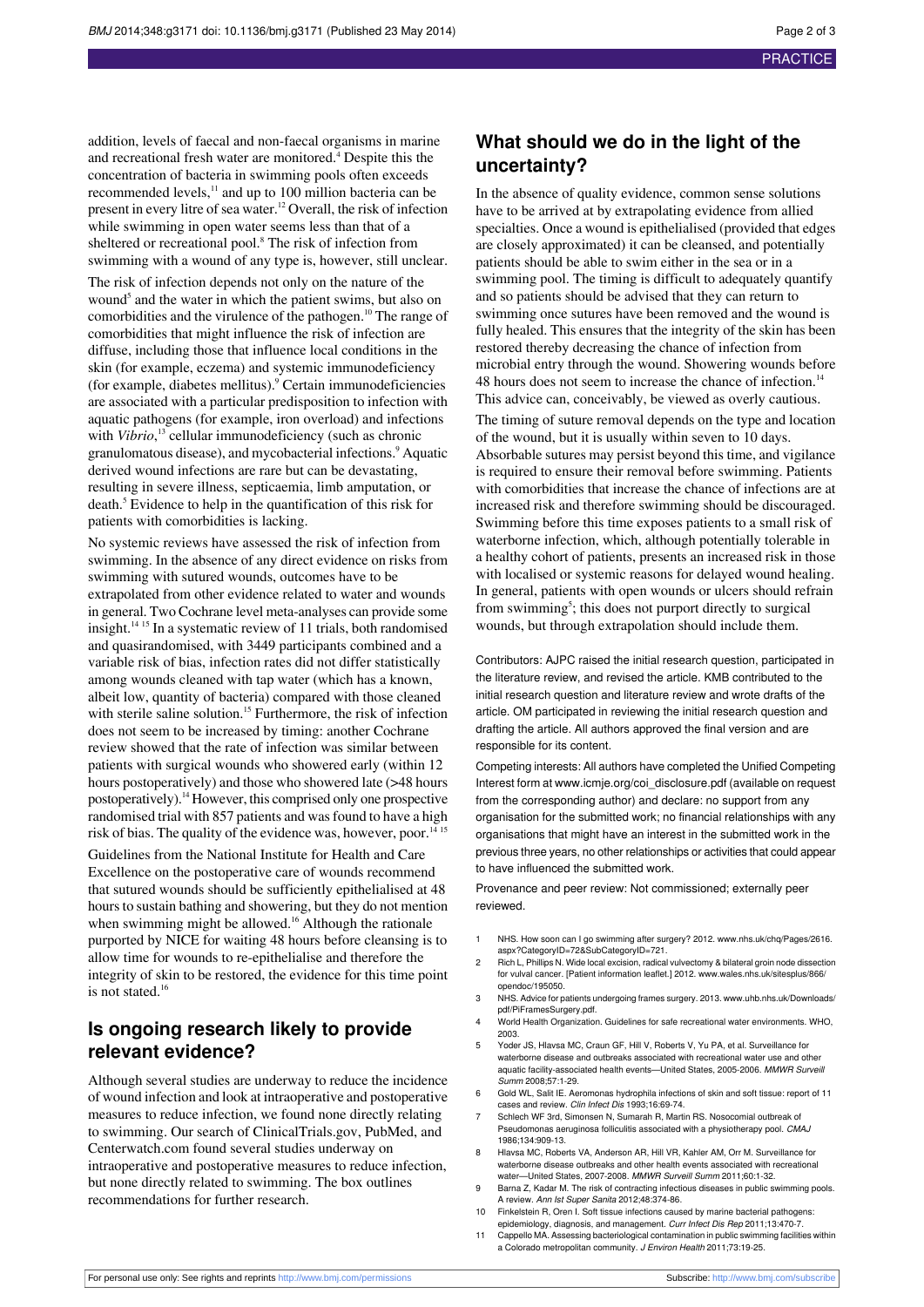addition, levels of faecal and non-faecal organisms in marine and recreational fresh water are monitored.<sup>4</sup> Despite this the concentration of bacteria in swimming pools often exceeds recommended levels,<sup>11</sup> and up to 100 million bacteria can be present in every litre of sea water.<sup>12</sup> Overall, the risk of infection while swimming in open water seems less than that of a sheltered or recreational pool.<sup>8</sup> The risk of infection from swimming with a wound of any type is, however, still unclear.

The risk of infection depends not only on the nature of the wound<sup>5</sup> and the water in which the patient swims, but also on comorbidities and the virulence of the pathogen.<sup>10</sup> The range of comorbidities that might influence the risk of infection are diffuse, including those that influence local conditions in the skin (for example, eczema) and systemic immunodeficiency (for example, diabetes mellitus).<sup>9</sup> Certain immunodeficiencies are associated with a particular predisposition to infection with aquatic pathogens (for example, iron overload) and infections with *Vibrio*,<sup>13</sup> cellular immunodeficiency (such as chronic granulomatous disease), and mycobacterial infections.<sup>9</sup> Aquatic derived wound infections are rare but can be devastating, resulting in severe illness, septicaemia, limb amputation, or death.<sup>5</sup> Evidence to help in the quantification of this risk for patients with comorbidities is lacking.

No systemic reviews have assessed the risk of infection from swimming. In the absence of any direct evidence on risks from swimming with sutured wounds, outcomes have to be extrapolated from other evidence related to water and wounds in general. Two Cochrane level meta-analyses can provide some insight.<sup>14</sup> <sup>15</sup> In a systematic review of 11 trials, both randomised and quasirandomised, with 3449 participants combined and a variable risk of bias, infection rates did not differ statistically among wounds cleaned with tap water (which has a known, albeit low, quantity of bacteria) compared with those cleaned with sterile saline solution.<sup>15</sup> Furthermore, the risk of infection does not seem to be increased by timing: another Cochrane review showed that the rate of infection was similar between patients with surgical wounds who showered early (within 12 hours postoperatively) and those who showered late ( $>48$  hours postoperatively).<sup>14</sup> However, this comprised only one prospective randomised trial with 857 patients and was found to have a high risk of bias. The quality of the evidence was, however, poor.<sup>14 15</sup>

Guidelines from the National Institute for Health and Care Excellence on the postoperative care of wounds recommend that sutured wounds should be sufficiently epithelialised at 48 hours to sustain bathing and showering, but they do not mention when swimming might be allowed.<sup>16</sup> Although the rationale purported by NICE for waiting 48 hours before cleansing is to allow time for wounds to re-epithelialise and therefore the integrity of skin to be restored, the evidence for this time point is not stated.<sup>16</sup>

## **Is ongoing research likely to provide relevant evidence?**

Although several studies are underway to reduce the incidence of wound infection and look at intraoperative and postoperative measures to reduce infection, we found none directly relating to swimming. Our search of ClinicalTrials.gov, PubMed, and Centerwatch.com found several studies underway on intraoperative and postoperative measures to reduce infection, but none directly related to swimming. The box outlines recommendations for further research.

# **What should we do in the light of the uncertainty?**

In the absence of quality evidence, common sense solutions have to be arrived at by extrapolating evidence from allied specialties. Once a wound is epithelialised (provided that edges are closely approximated) it can be cleansed, and potentially patients should be able to swim either in the sea or in a swimming pool. The timing is difficult to adequately quantify and so patients should be advised that they can return to swimming once sutures have been removed and the wound is fully healed. This ensures that the integrity of the skin has been restored thereby decreasing the chance of infection from microbial entry through the wound. Showering wounds before 48 hours does not seem to increase the chance of infection.<sup>14</sup> This advice can, conceivably, be viewed as overly cautious.

The timing of suture removal depends on the type and location of the wound, but it is usually within seven to 10 days. Absorbable sutures may persist beyond this time, and vigilance is required to ensure their removal before swimming. Patients with comorbidities that increase the chance of infections are at increased risk and therefore swimming should be discouraged. Swimming before this time exposes patients to a small risk of waterborne infection, which, although potentially tolerable in a healthy cohort of patients, presents an increased risk in those with localised or systemic reasons for delayed wound healing. In general, patients with open wounds or ulcers should refrain from swimming<sup>5</sup>; this does not purport directly to surgical wounds, but through extrapolation should include them.

Contributors: AJPC raised the initial research question, participated in the literature review, and revised the article. KMB contributed to the initial research question and literature review and wrote drafts of the article. OM participated in reviewing the initial research question and drafting the article. All authors approved the final version and are responsible for its content.

Competing interests: All authors have completed the Unified Competing Interest form at [www.icmje.org/coi\\_disclosure.pdf](http://www.icmje.org/coi_disclosure.pdf) (available on request from the corresponding author) and declare: no support from any organisation for the submitted work; no financial relationships with any organisations that might have an interest in the submitted work in the previous three years, no other relationships or activities that could appear to have influenced the submitted work.

Provenance and peer review: Not commissioned; externally peer reviewed.

- NHS. How soon can I go swimming after surgery? 2012. www.nhs.uk/chg/Pages/2616. [aspx?CategoryID=72&SubCategoryID=721.](http://www.nhs.uk/chq/Pages/2616.aspx?CategoryID=72&SubCategoryID=721)
- 2 Rich L, Phillips N. Wide local excision, radical vulvectomy & bilateral groin node dissection for vulval cancer. [Patient information leaflet.] 2012. [www.wales.nhs.uk/sitesplus/866/](http://www.wales.nhs.uk/sitesplus/866/opendoc/195050) [opendoc/195050.](http://www.wales.nhs.uk/sitesplus/866/opendoc/195050)
- 3 NHS. Advice for patients undergoing frames surgery. 2013. [www.uhb.nhs.uk/Downloads/](http://www.uhb.nhs.uk/Downloads/pdf/PiFramesSurgery.pdf) [pdf/PiFramesSurgery.pdf](http://www.uhb.nhs.uk/Downloads/pdf/PiFramesSurgery.pdf).
- 4 World Health Organization. Guidelines for safe recreational water environments. WHO, 2003.
- 5 Yoder JS, Hlavsa MC, Craun GF, Hill V, Roberts V, Yu PA, et al. Surveillance for waterborne disease and outbreaks associated with recreational water use and other aquatic facility-associated health events—United States, 2005-2006. MMWR Surveill Summ 2008;57:1-29.
- 6 Gold WL, Salit IE. Aeromonas hydrophila infections of skin and soft tissue: report of 11 cases and review. Clin Infect Dis 1993;16:69-74.
- 7 Schlech WF 3rd, Simonsen N, Sumarah R, Martin RS. Nosocomial outbreak of Pseudomonas aeruginosa folliculitis associated with a physiotherapy pool. CMAJ 1986;134:909-13.
- 8 Hlavsa MC, Roberts VA, Anderson AR, Hill VR, Kahler AM, Orr M. Surveillance for waterborne disease outbreaks and other health events associated with recreational water---United States, 2007-2008. MMWR Surveill Summ 2011:60:1-32.
- 9 Barna Z, Kadar M. The risk of contracting infectious diseases in public swimming pools. A review. Ann Ist Super Sanita 2012;48:374-86.
- 10 Finkelstein R, Oren I. Soft tissue infections caused by marine bacterial pathogens: epidemiology, diagnosis, and management. Curr Infect Dis Rep 2011;13:470-7.
- 11 Cappello MA. Assessing bacteriological contamination in public swimming facilities within a Colorado metropolitan community. J Environ Health 2011;73:19-25.